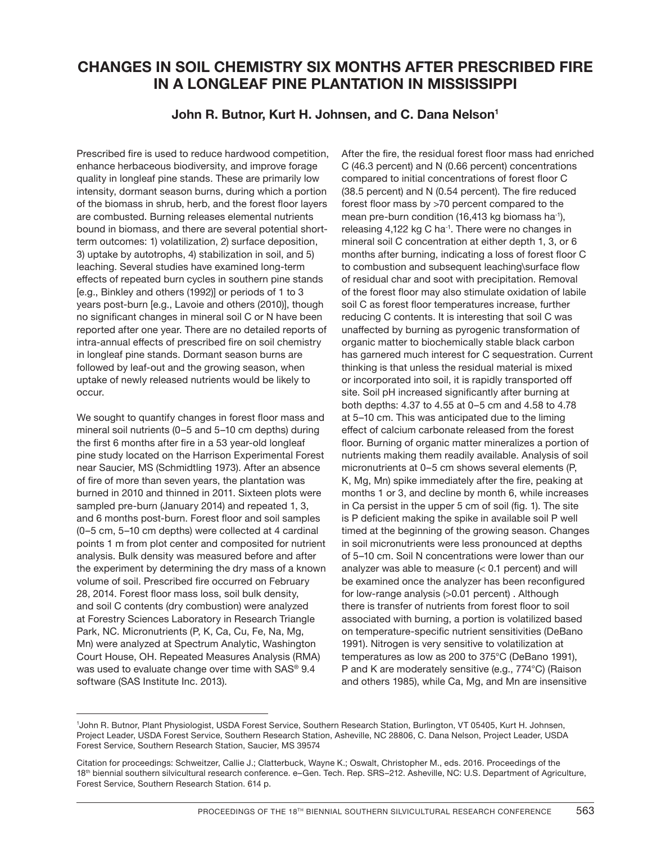## **CHANGES IN SOIL CHEMISTRY SIX MONTHS AFTER PRESCRIBED FIRE IN A LONGLEAF PINE PLANTATION IN MISSISSIPPI**

## John R. Butnor, Kurt H. Johnsen, and C. Dana Nelson<sup>1</sup>

Prescribed fire is used to reduce hardwood competition, enhance herbaceous biodiversity, and improve forage quality in longleaf pine stands. These are primarily low intensity, dormant season burns, during which a portion of the biomass in shrub, herb, and the forest floor layers are combusted. Burning releases elemental nutrients bound in biomass, and there are several potential shortterm outcomes: 1) volatilization, 2) surface deposition, 3) uptake by autotrophs, 4) stabilization in soil, and 5) leaching. Several studies have examined long-term effects of repeated burn cycles in southern pine stands [e.g., Binkley and others (1992)] or periods of 1 to 3 years post-burn [e.g., Lavoie and others (2010)], though no significant changes in mineral soil C or N have been reported after one year. There are no detailed reports of intra-annual effects of prescribed fire on soil chemistry in longleaf pine stands. Dormant season burns are followed by leaf-out and the growing season, when uptake of newly released nutrients would be likely to occur.

We sought to quantify changes in forest floor mass and mineral soil nutrients (0–5 and 5–10 cm depths) during the first 6 months after fire in a 53 year-old longleaf pine study located on the Harrison Experimental Forest near Saucier, MS (Schmidtling 1973). After an absence of fire of more than seven years, the plantation was burned in 2010 and thinned in 2011. Sixteen plots were sampled pre-burn (January 2014) and repeated 1, 3, and 6 months post-burn. Forest floor and soil samples (0–5 cm, 5–10 cm depths) were collected at 4 cardinal points 1 m from plot center and composited for nutrient analysis. Bulk density was measured before and after the experiment by determining the dry mass of a known volume of soil. Prescribed fire occurred on February 28, 2014. Forest floor mass loss, soil bulk density, and soil C contents (dry combustion) were analyzed at Forestry Sciences Laboratory in Research Triangle Park, NC. Micronutrients (P, K, Ca, Cu, Fe, Na, Mg, Mn) were analyzed at Spectrum Analytic, Washington Court House, OH. Repeated Measures Analysis (RMA) was used to evaluate change over time with SAS® 9.4 software (SAS Institute Inc. 2013).

After the fire, the residual forest floor mass had enriched C (46.3 percent) and N (0.66 percent) concentrations compared to initial concentrations of forest floor C (38.5 percent) and N (0.54 percent). The fire reduced forest floor mass by >70 percent compared to the mean pre-burn condition (16,413 kg biomass ha<sup>-1</sup>), releasing 4,122 kg C ha-1. There were no changes in mineral soil C concentration at either depth 1, 3, or 6 months after burning, indicating a loss of forest floor C to combustion and subsequent leaching\surface flow of residual char and soot with precipitation. Removal of the forest floor may also stimulate oxidation of labile soil C as forest floor temperatures increase, further reducing C contents. It is interesting that soil C was unaffected by burning as pyrogenic transformation of organic matter to biochemically stable black carbon has garnered much interest for C sequestration. Current thinking is that unless the residual material is mixed or incorporated into soil, it is rapidly transported off site. Soil pH increased significantly after burning at both depths: 4.37 to 4.55 at 0–5 cm and 4.58 to 4.78 at 5–10 cm. This was anticipated due to the liming effect of calcium carbonate released from the forest floor. Burning of organic matter mineralizes a portion of nutrients making them readily available. Analysis of soil micronutrients at 0–5 cm shows several elements (P, K, Mg, Mn) spike immediately after the fire, peaking at months 1 or 3, and decline by month 6, while increases in Ca persist in the upper 5 cm of soil (fig. 1). The site is P deficient making the spike in available soil P well timed at the beginning of the growing season. Changes in soil micronutrients were less pronounced at depths of 5–10 cm. Soil N concentrations were lower than our analyzer was able to measure  $( $0.1$  percent) and will$ be examined once the analyzer has been reconfigured for low-range analysis (>0.01 percent) . Although there is transfer of nutrients from forest floor to soil associated with burning, a portion is volatilized based on temperature-specific nutrient sensitivities (DeBano 1991). Nitrogen is very sensitive to volatilization at temperatures as low as 200 to 375°C (DeBano 1991), P and K are moderately sensitive (e.g., 774°C) (Raison and others 1985), while Ca, Mg, and Mn are insensitive

<sup>1</sup> John R. Butnor, Plant Physiologist, USDA Forest Service, Southern Research Station, Burlington, VT 05405, Kurt H. Johnsen, Project Leader, USDA Forest Service, Southern Research Station, Asheville, NC 28806, C. Dana Nelson, Project Leader, USDA Forest Service, Southern Research Station, Saucier, MS 39574

Citation for proceedings: Schweitzer, Callie J.; Clatterbuck, Wayne K.; Oswalt, Christopher M., eds. 2016. Proceedings of the 18th biennial southern silvicultural research conference. e–Gen. Tech. Rep. SRS–212. Asheville, NC: U.S. Department of Agriculture, Forest Service, Southern Research Station. 614 p.